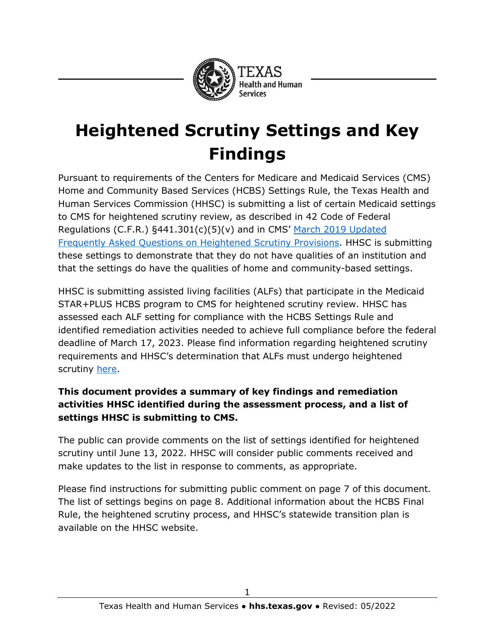

# **Heightened Scrutiny Settings and Key Findings**

Pursuant to requirements of the Centers for Medicare and Medicaid Services (CMS) Home and Community Based Services (HCBS) Settings Rule, the Texas Health and Human Services Commission (HHSC) is submitting a list of certain Medicaid settings to CMS for heightened scrutiny review, as described in 42 Code of Federal Regulations (C.F.R.) §441.301(c)(5)(v) and in CMS' [March 2019 Updated](https://www.medicaid.gov/federal-policy-guidance/downloads/smd19001.pdf)  [Frequently Asked Questions on Heightened Scrutiny Provisions.](https://www.medicaid.gov/federal-policy-guidance/downloads/smd19001.pdf) HHSC is submitting these settings to demonstrate that they do not have qualities of an institution and that the settings do have the qualities of home and community-based settings.

HHSC is submitting assisted living facilities (ALFs) that participate in the Medicaid STAR+PLUS HCBS program to CMS for heightened scrutiny review. HHSC has assessed each ALF setting for compliance with the HCBS Settings Rule and identified remediation activities needed to achieve full compliance before the federal deadline of March 17, 2023. Please find information regarding heightened scrutiny requirements and HHSC's determination that ALFs must undergo heightened scrutiny [here.](https://www.hhs.texas.gov/sites/default/files/documents/doing-business-with-hhs/provider-portal/resources/hcbs/public-comment-heightened-scrutiny.pdf)

#### **This document provides a summary of key findings and remediation activities HHSC identified during the assessment process, and a list of settings HHSC is submitting to CMS.**

The public can provide comments on the list of settings identified for heightened scrutiny until June 13, 2022. HHSC will consider public comments received and make updates to the list in response to comments, as appropriate.

Please find instructions for submitting public comment on page 7 of this document. The list of settings begins on page 8. Additional information about the HCBS Final Rule, the heightened scrutiny process, and HHSC's statewide transition plan is available on the HHSC website.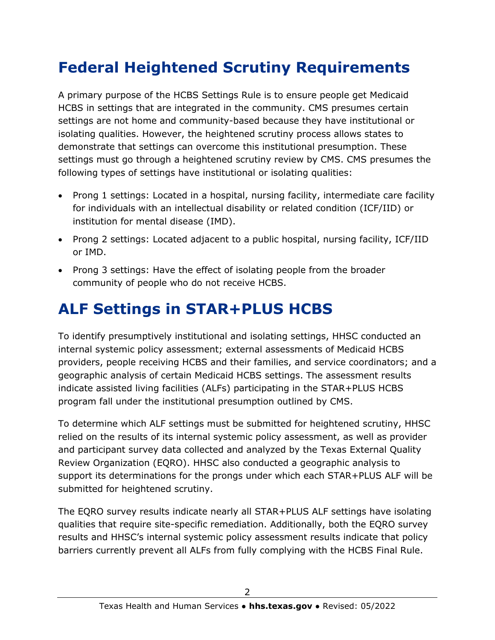## **Federal Heightened Scrutiny Requirements**

A primary purpose of the HCBS Settings Rule is to ensure people get Medicaid HCBS in settings that are integrated in the community. CMS presumes certain settings are not home and community-based because they have institutional or isolating qualities. However, the heightened scrutiny process allows states to demonstrate that settings can overcome this institutional presumption. These settings must go through a heightened scrutiny review by CMS. CMS presumes the following types of settings have institutional or isolating qualities:

- Prong 1 settings: Located in a hospital, nursing facility, intermediate care facility for individuals with an intellectual disability or related condition (ICF/IID) or institution for mental disease (IMD).
- Prong 2 settings: Located adjacent to a public hospital, nursing facility, ICF/IID or IMD.
- Prong 3 settings: Have the effect of isolating people from the broader community of people who do not receive HCBS.

### **ALF Settings in STAR+PLUS HCBS**

To identify presumptively institutional and isolating settings, HHSC conducted an internal systemic policy assessment; external assessments of Medicaid HCBS providers, people receiving HCBS and their families, and service coordinators; and a geographic analysis of certain Medicaid HCBS settings. The assessment results indicate assisted living facilities (ALFs) participating in the STAR+PLUS HCBS program fall under the institutional presumption outlined by CMS.

To determine which ALF settings must be submitted for heightened scrutiny, HHSC relied on the results of its internal systemic policy assessment, as well as provider and participant survey data collected and analyzed by the Texas External Quality Review Organization (EQRO). HHSC also conducted a geographic analysis to support its determinations for the prongs under which each STAR+PLUS ALF will be submitted for heightened scrutiny.

The EQRO survey results indicate nearly all STAR+PLUS ALF settings have isolating qualities that require site-specific remediation. Additionally, both the EQRO survey results and HHSC's internal systemic policy assessment results indicate that policy barriers currently prevent all ALFs from fully complying with the HCBS Final Rule.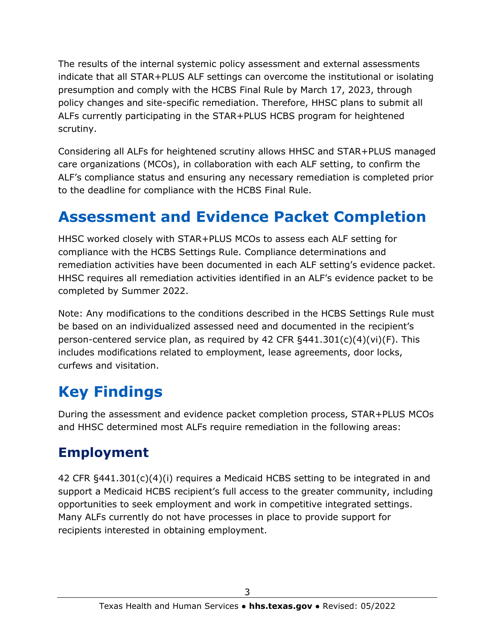The results of the internal systemic policy assessment and external assessments indicate that all STAR+PLUS ALF settings can overcome the institutional or isolating presumption and comply with the HCBS Final Rule by March 17, 2023, through policy changes and site-specific remediation. Therefore, HHSC plans to submit all ALFs currently participating in the STAR+PLUS HCBS program for heightened scrutiny.

Considering all ALFs for heightened scrutiny allows HHSC and STAR+PLUS managed care organizations (MCOs), in collaboration with each ALF setting, to confirm the ALF's compliance status and ensuring any necessary remediation is completed prior to the deadline for compliance with the HCBS Final Rule.

## **Assessment and Evidence Packet Completion**

HHSC worked closely with STAR+PLUS MCOs to assess each ALF setting for compliance with the HCBS Settings Rule. Compliance determinations and remediation activities have been documented in each ALF setting's evidence packet. HHSC requires all remediation activities identified in an ALF's evidence packet to be completed by Summer 2022.

Note: Any modifications to the conditions described in the HCBS Settings Rule must be based on an individualized assessed need and documented in the recipient's person-centered service plan, as required by 42 CFR §441.301(c)(4)(vi)(F). This includes modifications related to employment, lease agreements, door locks, curfews and visitation.

## **Key Findings**

During the assessment and evidence packet completion process, STAR+PLUS MCOs and HHSC determined most ALFs require remediation in the following areas:

### **Employment**

42 CFR §441.301(c)(4)(i) requires a Medicaid HCBS setting to be integrated in and support a Medicaid HCBS recipient's full access to the greater community, including opportunities to seek employment and work in competitive integrated settings. Many ALFs currently do not have processes in place to provide support for recipients interested in obtaining employment.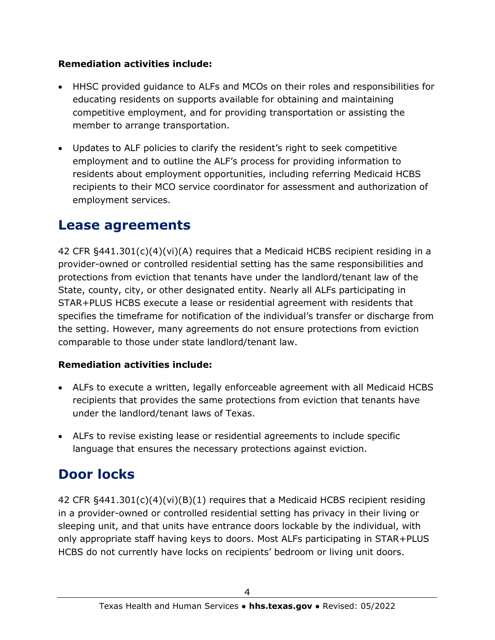#### **Remediation activities include:**

- HHSC provided guidance to ALFs and MCOs on their roles and responsibilities for educating residents on supports available for obtaining and maintaining competitive employment, and for providing transportation or assisting the member to arrange transportation.
- Updates to ALF policies to clarify the resident's right to seek competitive employment and to outline the ALF's process for providing information to residents about employment opportunities, including referring Medicaid HCBS recipients to their MCO service coordinator for assessment and authorization of employment services.

### **Lease agreements**

42 CFR §441.301(c)(4)(vi)(A) requires that a Medicaid HCBS recipient residing in a provider-owned or controlled residential setting has the same responsibilities and protections from eviction that tenants have under the landlord/tenant law of the State, county, city, or other designated entity. Nearly all ALFs participating in STAR+PLUS HCBS execute a lease or residential agreement with residents that specifies the timeframe for notification of the individual's transfer or discharge from the setting. However, many agreements do not ensure protections from eviction comparable to those under state landlord/tenant law.

#### **Remediation activities include:**

- ALFs to execute a written, legally enforceable agreement with all Medicaid HCBS recipients that provides the same protections from eviction that tenants have under the landlord/tenant laws of Texas.
- ALFs to revise existing lease or residential agreements to include specific language that ensures the necessary protections against eviction.

### **Door locks**

42 CFR §441.301(c)(4)(vi)(B)(1) requires that a Medicaid HCBS recipient residing in a provider-owned or controlled residential setting has privacy in their living or sleeping unit, and that units have entrance doors lockable by the individual, with only appropriate staff having keys to doors. Most ALFs participating in STAR+PLUS HCBS do not currently have locks on recipients' bedroom or living unit doors.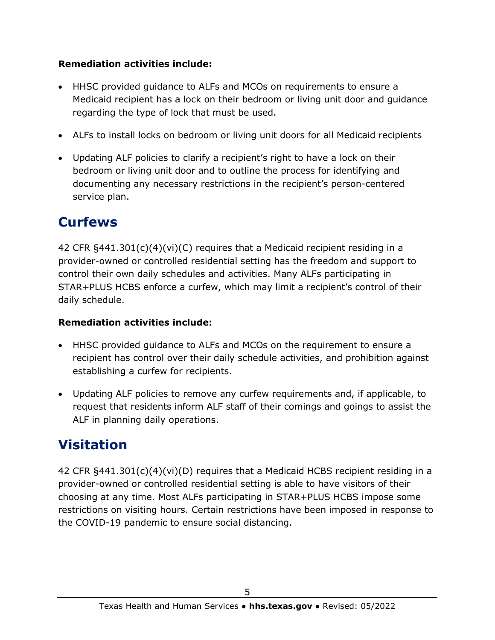#### **Remediation activities include:**

- HHSC provided guidance to ALFs and MCOs on requirements to ensure a Medicaid recipient has a lock on their bedroom or living unit door and guidance regarding the type of lock that must be used.
- ALFs to install locks on bedroom or living unit doors for all Medicaid recipients
- Updating ALF policies to clarify a recipient's right to have a lock on their bedroom or living unit door and to outline the process for identifying and documenting any necessary restrictions in the recipient's person-centered service plan.

### **Curfews**

42 CFR §441.301(c)(4)(vi)(C) requires that a Medicaid recipient residing in a provider-owned or controlled residential setting has the freedom and support to control their own daily schedules and activities. Many ALFs participating in STAR+PLUS HCBS enforce a curfew, which may limit a recipient's control of their daily schedule.

#### **Remediation activities include:**

- HHSC provided guidance to ALFs and MCOs on the requirement to ensure a recipient has control over their daily schedule activities, and prohibition against establishing a curfew for recipients.
- Updating ALF policies to remove any curfew requirements and, if applicable, to request that residents inform ALF staff of their comings and goings to assist the ALF in planning daily operations.

### **Visitation**

42 CFR §441.301(c)(4)(vi)(D) requires that a Medicaid HCBS recipient residing in a provider-owned or controlled residential setting is able to have visitors of their choosing at any time. Most ALFs participating in STAR+PLUS HCBS impose some restrictions on visiting hours. Certain restrictions have been imposed in response to the COVID-19 pandemic to ensure social distancing.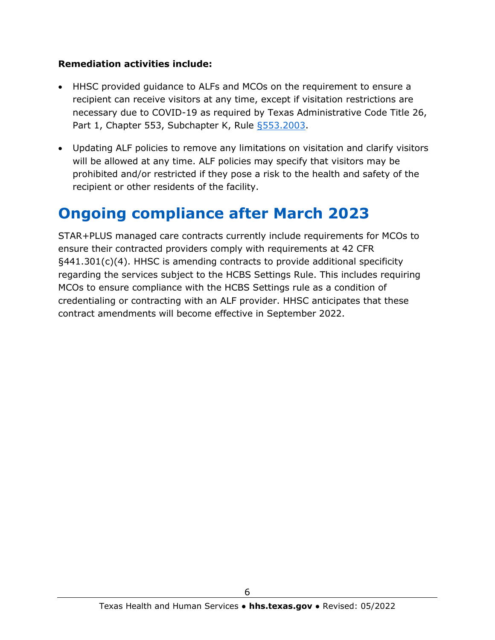#### **Remediation activities include:**

- HHSC provided guidance to ALFs and MCOs on the requirement to ensure a recipient can receive visitors at any time, except if visitation restrictions are necessary due to COVID-19 as required by [Texas Administrative Code Title 26,](https://www.hhs.texas.gov/sites/default/files/documents/doing-business-with-hhs/providers/long-term-care/alf/alf-covid-19-expanision-reopening-visitation-emergency-rule.pdf)  [Part 1, Chapter 553, Subchapter K, Rule §553.2003.](https://www.hhs.texas.gov/sites/default/files/documents/doing-business-with-hhs/providers/long-term-care/alf/alf-covid-19-expanision-reopening-visitation-emergency-rule.pdf)
- Updating ALF policies to remove any limitations on visitation and clarify visitors will be allowed at any time. ALF policies may specify that visitors may be prohibited and/or restricted if they pose a risk to the health and safety of the recipient or other residents of the facility.

## **Ongoing compliance after March 2023**

STAR+PLUS managed care contracts currently include requirements for MCOs to ensure their contracted providers comply with requirements at 42 CFR §441.301(c)(4). HHSC is amending contracts to provide additional specificity regarding the services subject to the HCBS Settings Rule. This includes requiring MCOs to ensure compliance with the HCBS Settings rule as a condition of credentialing or contracting with an ALF provider. HHSC anticipates that these contract amendments will become effective in September 2022.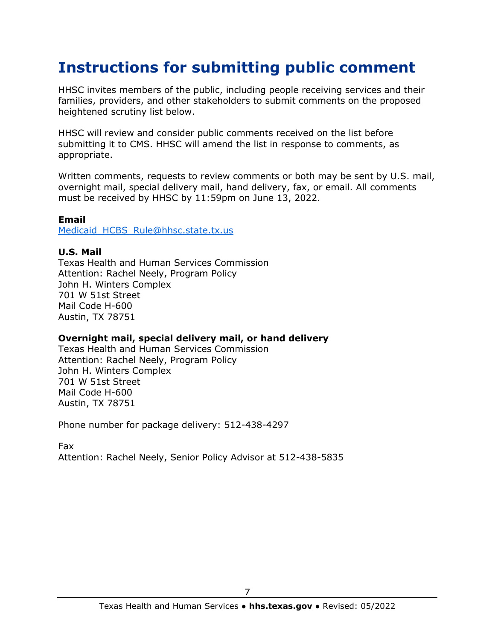### **Instructions for submitting public comment**

HHSC invites members of the public, including people receiving services and their families, providers, and other stakeholders to submit comments on the proposed heightened scrutiny list below.

HHSC will review and consider public comments received on the list before submitting it to CMS. HHSC will amend the list in response to comments, as appropriate.

Written comments, requests to review comments or both may be sent by U.S. mail, overnight mail, special delivery mail, hand delivery, fax, or email. All comments must be received by HHSC by 11:59pm on June 13, 2022.

#### **Email**

Medicaid HCBS Rule@hhsc.state.tx.us

#### **U.S. Mail**

Texas Health and Human Services Commission Attention: Rachel Neely, Program Policy John H. Winters Complex 701 W 51st Street Mail Code H-600 Austin, TX 78751

#### **Overnight mail, special delivery mail, or hand delivery**

Texas Health and Human Services Commission Attention: Rachel Neely, Program Policy John H. Winters Complex 701 W 51st Street Mail Code H-600 Austin, TX 78751

Phone number for package delivery: 512-438-4297

Fax

Attention: Rachel Neely, Senior Policy Advisor at 512-438-5835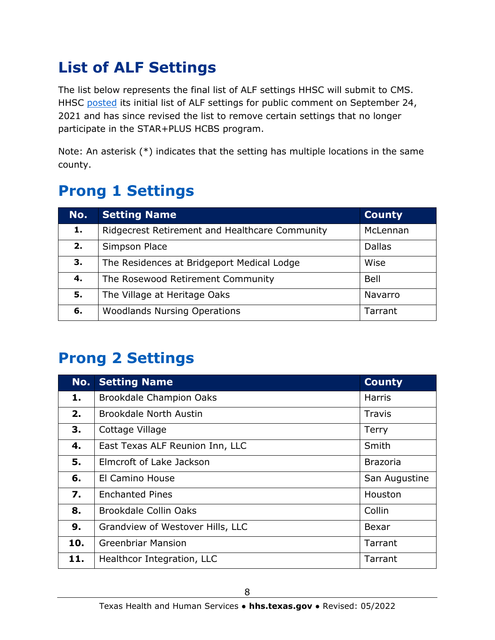## **List of ALF Settings**

The list below represents the final list of ALF settings HHSC will submit to CMS. HHSC [posted](https://www.hhs.texas.gov/sites/default/files/documents/doing-business-with-hhs/provider-portal/resources/hcbs/public-comment-heightened-scrutiny.pdf) its initial list of ALF settings for public comment on September 24, 2021 and has since revised the list to remove certain settings that no longer participate in the STAR+PLUS HCBS program.

Note: An asterisk (\*) indicates that the setting has multiple locations in the same county.

### **Prong 1 Settings**

| No. | <b>Setting Name</b>                            | <b>County</b> |
|-----|------------------------------------------------|---------------|
| 1.  | Ridgecrest Retirement and Healthcare Community | McLennan      |
| 2.  | Simpson Place                                  | <b>Dallas</b> |
| 3.  | The Residences at Bridgeport Medical Lodge     | Wise          |
| 4.  | The Rosewood Retirement Community              | <b>Bell</b>   |
| 5.  | The Village at Heritage Oaks                   | Navarro       |
| 6.  | <b>Woodlands Nursing Operations</b>            | Tarrant       |

## **Prong 2 Settings**

| No. | <b>Setting Name</b>              | <b>County</b>   |
|-----|----------------------------------|-----------------|
| 1.  | <b>Brookdale Champion Oaks</b>   | <b>Harris</b>   |
| 2.  | <b>Brookdale North Austin</b>    | Travis          |
| 3.  | Cottage Village                  | <b>Terry</b>    |
| 4.  | East Texas ALF Reunion Inn, LLC  | Smith           |
| 5.  | Elmcroft of Lake Jackson         | <b>Brazoria</b> |
| 6.  | El Camino House                  | San Augustine   |
| 7.  | <b>Enchanted Pines</b>           | Houston         |
| 8.  | Brookdale Collin Oaks            | Collin          |
| 9.  | Grandview of Westover Hills, LLC | Bexar           |
| 10. | <b>Greenbriar Mansion</b>        | Tarrant         |
| 11. | Healthcor Integration, LLC       | Tarrant         |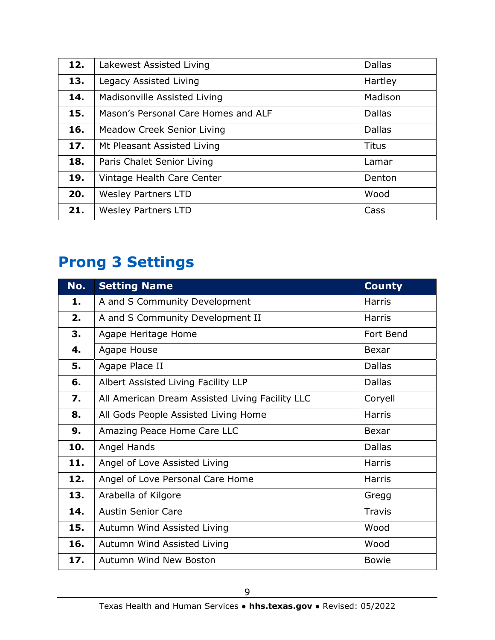| 12. | Lakewest Assisted Living            | <b>Dallas</b> |
|-----|-------------------------------------|---------------|
| 13. | Legacy Assisted Living              | Hartley       |
| 14. | Madisonville Assisted Living        | Madison       |
| 15. | Mason's Personal Care Homes and ALF | <b>Dallas</b> |
| 16. | <b>Meadow Creek Senior Living</b>   | <b>Dallas</b> |
| 17. | Mt Pleasant Assisted Living         | <b>Titus</b>  |
| 18. | Paris Chalet Senior Living          | Lamar         |
| 19. | Vintage Health Care Center          | Denton        |
| 20. | <b>Wesley Partners LTD</b>          | Wood          |
| 21. | <b>Wesley Partners LTD</b>          | Cass          |

## **Prong 3 Settings**

| No.              | <b>Setting Name</b>                             | <b>County</b> |
|------------------|-------------------------------------------------|---------------|
| 1.               | A and S Community Development                   | <b>Harris</b> |
| 2.               | A and S Community Development II                | <b>Harris</b> |
| 3.               | Agape Heritage Home                             | Fort Bend     |
| 4.               | Agape House                                     | <b>Bexar</b>  |
| 5.               | Agape Place II                                  | <b>Dallas</b> |
| 6.               | Albert Assisted Living Facility LLP             | <b>Dallas</b> |
| $\overline{7}$ . | All American Dream Assisted Living Facility LLC | Coryell       |
| 8.               | All Gods People Assisted Living Home            | <b>Harris</b> |
| 9.               | Amazing Peace Home Care LLC                     | Bexar         |
| 10.              | Angel Hands                                     | <b>Dallas</b> |
| 11.              | Angel of Love Assisted Living                   | <b>Harris</b> |
| 12.              | Angel of Love Personal Care Home                | <b>Harris</b> |
| 13.              | Arabella of Kilgore                             | Gregg         |
| 14.              | <b>Austin Senior Care</b>                       | <b>Travis</b> |
| 15.              | Autumn Wind Assisted Living                     | Wood          |
| 16.              | Autumn Wind Assisted Living                     | Wood          |
| 17.              | Autumn Wind New Boston                          | <b>Bowie</b>  |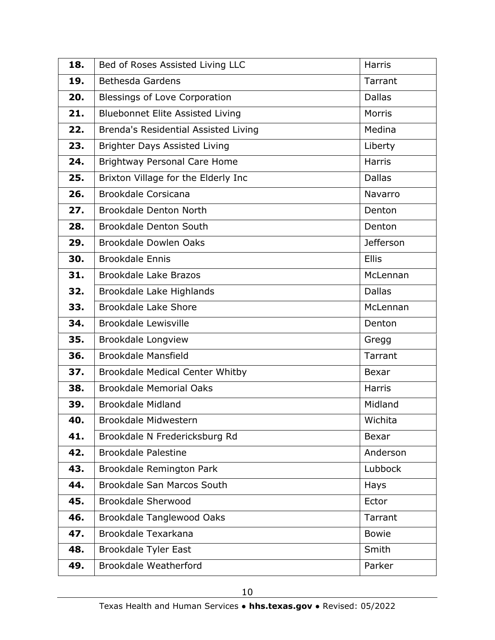| 18. | Bed of Roses Assisted Living LLC        | <b>Harris</b>    |
|-----|-----------------------------------------|------------------|
| 19. | <b>Bethesda Gardens</b>                 | Tarrant          |
| 20. | Blessings of Love Corporation           | <b>Dallas</b>    |
| 21. | <b>Bluebonnet Elite Assisted Living</b> | Morris           |
| 22. | Brenda's Residential Assisted Living    | Medina           |
| 23. | Brighter Days Assisted Living           | Liberty          |
| 24. | <b>Brightway Personal Care Home</b>     | <b>Harris</b>    |
| 25. | Brixton Village for the Elderly Inc     | <b>Dallas</b>    |
| 26. | <b>Brookdale Corsicana</b>              | Navarro          |
| 27. | <b>Brookdale Denton North</b>           | Denton           |
| 28. | <b>Brookdale Denton South</b>           | Denton           |
| 29. | Brookdale Dowlen Oaks                   | <b>Jefferson</b> |
| 30. | <b>Brookdale Ennis</b>                  | <b>Ellis</b>     |
| 31. | <b>Brookdale Lake Brazos</b>            | McLennan         |
| 32. | Brookdale Lake Highlands                | <b>Dallas</b>    |
| 33. | <b>Brookdale Lake Shore</b>             | McLennan         |
| 34. | <b>Brookdale Lewisville</b>             | Denton           |
| 35. | <b>Brookdale Longview</b>               | Gregg            |
| 36. | <b>Brookdale Mansfield</b>              | Tarrant          |
| 37. | <b>Brookdale Medical Center Whitby</b>  | <b>Bexar</b>     |
| 38. | <b>Brookdale Memorial Oaks</b>          | <b>Harris</b>    |
| 39. | <b>Brookdale Midland</b>                | Midland          |
| 40. | Brookdale Midwestern                    | Wichita          |
| 41. | Brookdale N Fredericksburg Rd           | Bexar            |
| 42. | <b>Brookdale Palestine</b>              | Anderson         |
| 43. | Brookdale Remington Park                | Lubbock          |
| 44. | Brookdale San Marcos South              | Hays             |
| 45. | <b>Brookdale Sherwood</b>               | Ector            |
| 46. | <b>Brookdale Tanglewood Oaks</b>        | Tarrant          |
| 47. | Brookdale Texarkana                     | <b>Bowie</b>     |
| 48. | Brookdale Tyler East                    | Smith            |
| 49. | Brookdale Weatherford                   | Parker           |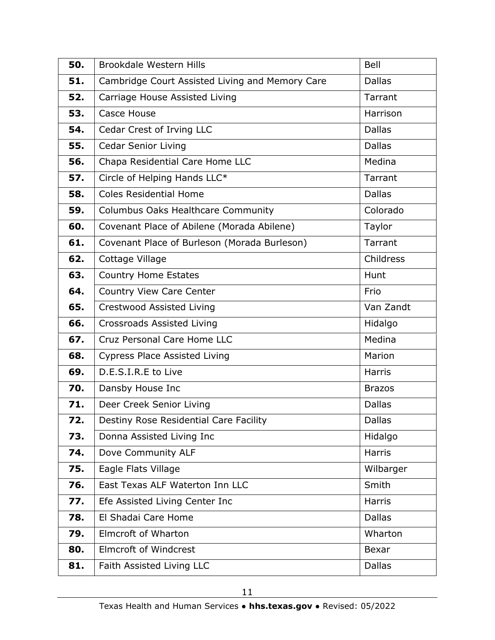| 50. | <b>Brookdale Western Hills</b>                  | <b>Bell</b>   |
|-----|-------------------------------------------------|---------------|
| 51. | Cambridge Court Assisted Living and Memory Care | <b>Dallas</b> |
| 52. | Carriage House Assisted Living                  | Tarrant       |
| 53. | Casce House                                     | Harrison      |
| 54. | Cedar Crest of Irving LLC                       | <b>Dallas</b> |
| 55. | <b>Cedar Senior Living</b>                      | <b>Dallas</b> |
| 56. | Chapa Residential Care Home LLC                 | Medina        |
| 57. | Circle of Helping Hands LLC*                    | Tarrant       |
| 58. | <b>Coles Residential Home</b>                   | <b>Dallas</b> |
| 59. | Columbus Oaks Healthcare Community              | Colorado      |
| 60. | Covenant Place of Abilene (Morada Abilene)      | Taylor        |
| 61. | Covenant Place of Burleson (Morada Burleson)    | Tarrant       |
| 62. | Cottage Village                                 | Childress     |
| 63. | <b>Country Home Estates</b>                     | Hunt          |
| 64. | Country View Care Center                        | Frio          |
| 65. | Crestwood Assisted Living                       | Van Zandt     |
| 66. | Crossroads Assisted Living                      | Hidalgo       |
| 67. | Cruz Personal Care Home LLC                     | Medina        |
| 68. | <b>Cypress Place Assisted Living</b>            | Marion        |
| 69. | D.E.S.I.R.E to Live                             | <b>Harris</b> |
| 70. | Dansby House Inc                                | <b>Brazos</b> |
| 71. | Deer Creek Senior Living                        | <b>Dallas</b> |
| 72. | Destiny Rose Residential Care Facility          | <b>Dallas</b> |
| 73. | Donna Assisted Living Inc                       | Hidalgo       |
| 74. | Dove Community ALF                              | <b>Harris</b> |
| 75. | Eagle Flats Village                             | Wilbarger     |
| 76. | East Texas ALF Waterton Inn LLC                 | Smith         |
| 77. | Efe Assisted Living Center Inc                  | <b>Harris</b> |
| 78. | El Shadai Care Home                             | <b>Dallas</b> |
| 79. | Elmcroft of Wharton                             | Wharton       |
| 80. | <b>Elmcroft of Windcrest</b>                    | <b>Bexar</b>  |
| 81. | Faith Assisted Living LLC                       | <b>Dallas</b> |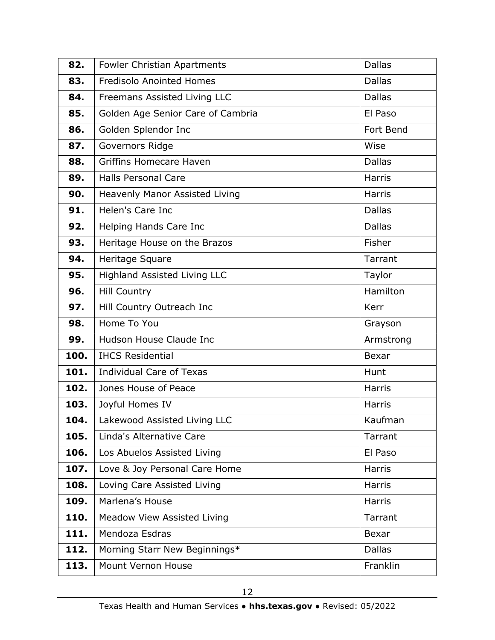| 82.  | <b>Fowler Christian Apartments</b>  | <b>Dallas</b> |
|------|-------------------------------------|---------------|
| 83.  | <b>Fredisolo Anointed Homes</b>     | <b>Dallas</b> |
| 84.  | Freemans Assisted Living LLC        | <b>Dallas</b> |
| 85.  | Golden Age Senior Care of Cambria   | El Paso       |
| 86.  | Golden Splendor Inc                 | Fort Bend     |
| 87.  | Governors Ridge                     | Wise          |
| 88.  | <b>Griffins Homecare Haven</b>      | <b>Dallas</b> |
| 89.  | <b>Halls Personal Care</b>          | <b>Harris</b> |
| 90.  | Heavenly Manor Assisted Living      | <b>Harris</b> |
| 91.  | Helen's Care Inc                    | <b>Dallas</b> |
| 92.  | Helping Hands Care Inc              | <b>Dallas</b> |
| 93.  | Heritage House on the Brazos        | Fisher        |
| 94.  | Heritage Square                     | Tarrant       |
| 95.  | <b>Highland Assisted Living LLC</b> | Taylor        |
| 96.  | <b>Hill Country</b>                 | Hamilton      |
| 97.  | Hill Country Outreach Inc           | <b>Kerr</b>   |
| 98.  | Home To You                         | Grayson       |
| 99.  | Hudson House Claude Inc             | Armstrong     |
| 100. | <b>IHCS Residential</b>             | <b>Bexar</b>  |
| 101. | <b>Individual Care of Texas</b>     | Hunt          |
| 102. | Jones House of Peace                | <b>Harris</b> |
| 103. | Joyful Homes IV                     | Harris        |
| 104. | Lakewood Assisted Living LLC        | Kaufman       |
| 105. | Linda's Alternative Care            | Tarrant       |
| 106. | Los Abuelos Assisted Living         | El Paso       |
| 107. | Love & Joy Personal Care Home       | <b>Harris</b> |
| 108. | Loving Care Assisted Living         | <b>Harris</b> |
| 109. | Marlena's House                     | <b>Harris</b> |
| 110. | Meadow View Assisted Living         | Tarrant       |
| 111. | Mendoza Esdras                      | Bexar         |
| 112. | Morning Starr New Beginnings*       | <b>Dallas</b> |
| 113. | Mount Vernon House                  | Franklin      |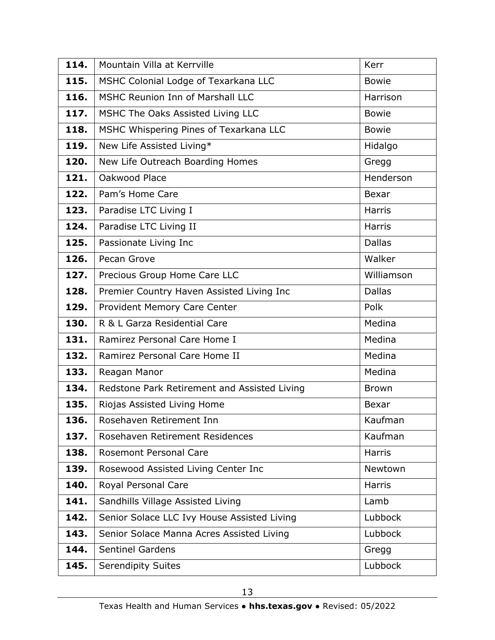| 114. | Mountain Villa at Kerrville                  | Kerr          |
|------|----------------------------------------------|---------------|
| 115. | MSHC Colonial Lodge of Texarkana LLC         | <b>Bowie</b>  |
| 116. | MSHC Reunion Inn of Marshall LLC             | Harrison      |
| 117. | MSHC The Oaks Assisted Living LLC            | <b>Bowie</b>  |
| 118. | MSHC Whispering Pines of Texarkana LLC       | <b>Bowie</b>  |
| 119. | New Life Assisted Living*                    | Hidalgo       |
| 120. | New Life Outreach Boarding Homes             | Gregg         |
| 121. | Oakwood Place                                | Henderson     |
| 122. | Pam's Home Care                              | <b>Bexar</b>  |
| 123. | Paradise LTC Living I                        | <b>Harris</b> |
| 124. | Paradise LTC Living II                       | <b>Harris</b> |
| 125. | Passionate Living Inc                        | <b>Dallas</b> |
| 126. | Pecan Grove                                  | Walker        |
| 127. | Precious Group Home Care LLC                 | Williamson    |
| 128. | Premier Country Haven Assisted Living Inc    | <b>Dallas</b> |
| 129. | Provident Memory Care Center                 | Polk          |
| 130. | R & L Garza Residential Care                 | Medina        |
| 131. | Ramirez Personal Care Home I                 | Medina        |
| 132. | Ramirez Personal Care Home II                | Medina        |
| 133. | Reagan Manor                                 | Medina        |
| 134. | Redstone Park Retirement and Assisted Living | <b>Brown</b>  |
| 135. | Riojas Assisted Living Home                  | <b>Bexar</b>  |
| 136. | Rosehaven Retirement Inn                     | Kaufman       |
| 137. | Rosehaven Retirement Residences              | Kaufman       |
| 138. | <b>Rosemont Personal Care</b>                | <b>Harris</b> |
| 139. | Rosewood Assisted Living Center Inc          | Newtown       |
| 140. | Royal Personal Care                          | <b>Harris</b> |
| 141. | Sandhills Village Assisted Living            | Lamb          |
| 142. | Senior Solace LLC Ivy House Assisted Living  | Lubbock       |
| 143. | Senior Solace Manna Acres Assisted Living    | Lubbock       |
| 144. | <b>Sentinel Gardens</b>                      | Gregg         |
| 145. | <b>Serendipity Suites</b>                    | Lubbock       |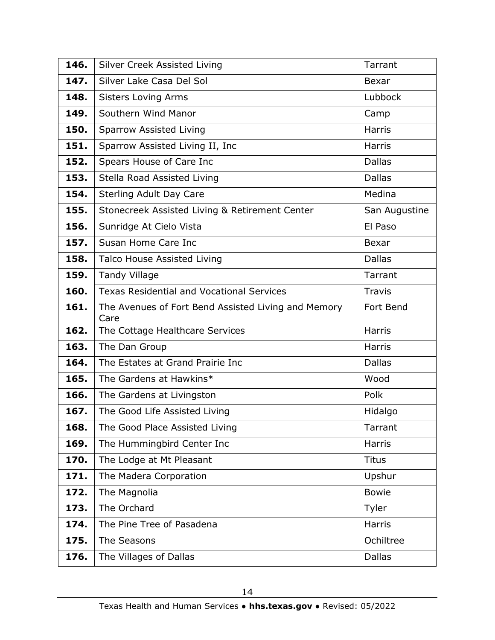| 146. | Silver Creek Assisted Living                                | Tarrant       |
|------|-------------------------------------------------------------|---------------|
| 147. | Silver Lake Casa Del Sol                                    | Bexar         |
| 148. | <b>Sisters Loving Arms</b>                                  | Lubbock       |
| 149. | Southern Wind Manor                                         | Camp          |
| 150. | <b>Sparrow Assisted Living</b>                              | <b>Harris</b> |
| 151. | Sparrow Assisted Living II, Inc.                            | <b>Harris</b> |
| 152. | Spears House of Care Inc                                    | <b>Dallas</b> |
| 153. | Stella Road Assisted Living                                 | <b>Dallas</b> |
| 154. | <b>Sterling Adult Day Care</b>                              | Medina        |
| 155. | Stonecreek Assisted Living & Retirement Center              | San Augustine |
| 156. | Sunridge At Cielo Vista                                     | El Paso       |
| 157. | Susan Home Care Inc                                         | Bexar         |
| 158. | <b>Talco House Assisted Living</b>                          | <b>Dallas</b> |
| 159. | <b>Tandy Village</b>                                        | Tarrant       |
| 160. | <b>Texas Residential and Vocational Services</b>            | <b>Travis</b> |
| 161. | The Avenues of Fort Bend Assisted Living and Memory<br>Care | Fort Bend     |
| 162. | The Cottage Healthcare Services                             | <b>Harris</b> |
| 163. | The Dan Group                                               | <b>Harris</b> |
| 164. | The Estates at Grand Prairie Inc                            | <b>Dallas</b> |
| 165. | The Gardens at Hawkins*                                     | Wood          |
| 166. | The Gardens at Livingston                                   | Polk          |
| 167. | The Good Life Assisted Living                               | Hidalgo       |
| 168. | The Good Place Assisted Living                              | Tarrant       |
| 169. | The Hummingbird Center Inc                                  | <b>Harris</b> |
| 170. | The Lodge at Mt Pleasant                                    | <b>Titus</b>  |
| 171. | The Madera Corporation                                      | Upshur        |
| 172. | The Magnolia                                                | <b>Bowie</b>  |
| 173. | The Orchard                                                 | Tyler         |
| 174. | The Pine Tree of Pasadena                                   | <b>Harris</b> |
| 175. | The Seasons                                                 | Ochiltree     |
| 176. | The Villages of Dallas                                      | <b>Dallas</b> |